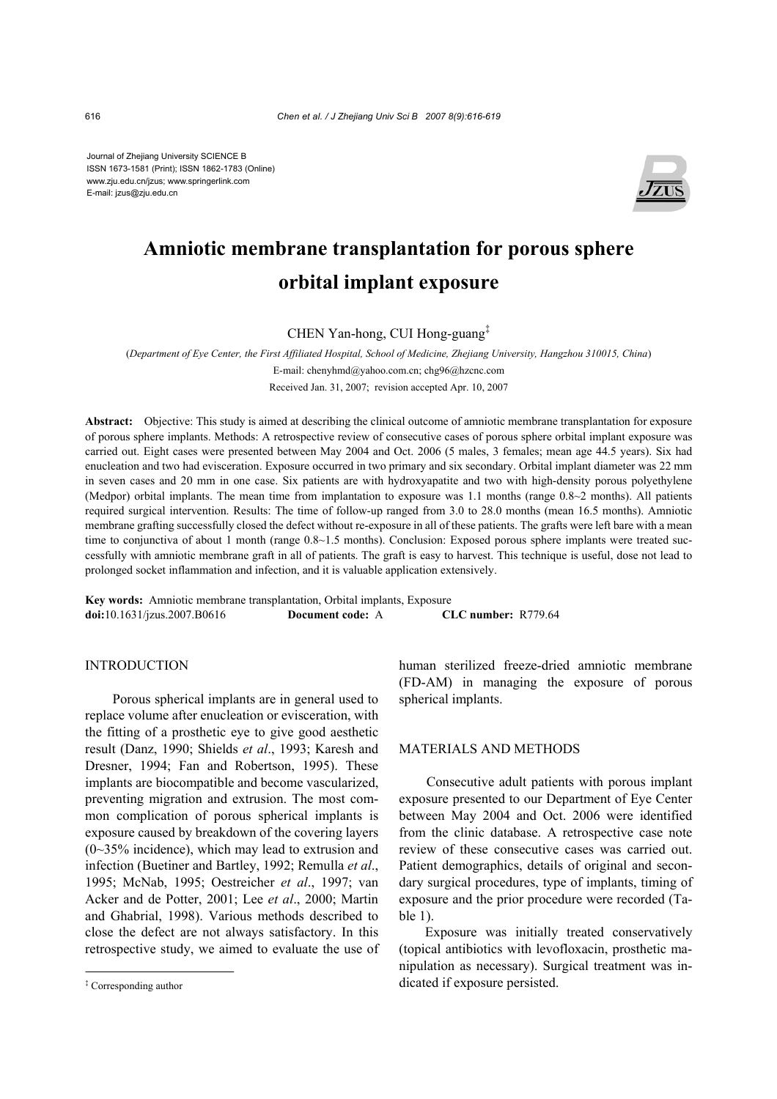Journal of Zhejiang University SCIENCE B ISSN 1673-1581 (Print); ISSN 1862-1783 (Online) www.zju.edu.cn/jzus; www.springerlink.com E-mail: jzus@zju.edu.cn



# **Amniotic membrane transplantation for porous sphere orbital implant exposure**

CHEN Yan-hong, CUI Hong-guang‡

(*Department of Eye Center, the First Affiliated Hospital, School of Medicine, Zhejiang University, Hangzhou 310015, China*)

E-mail: chenyhmd@yahoo.com.cn; chg96@hzcnc.com Received Jan. 31, 2007; revision accepted Apr. 10, 2007

**Abstract:** Objective: This study is aimed at describing the clinical outcome of amniotic membrane transplantation for exposure of porous sphere implants. Methods: A retrospective review of consecutive cases of porous sphere orbital implant exposure was carried out. Eight cases were presented between May 2004 and Oct. 2006 (5 males, 3 females; mean age 44.5 years). Six had enucleation and two had evisceration. Exposure occurred in two primary and six secondary. Orbital implant diameter was 22 mm in seven cases and 20 mm in one case. Six patients are with hydroxyapatite and two with high-density porous polyethylene (Medpor) orbital implants. The mean time from implantation to exposure was 1.1 months (range 0.8~2 months). All patients required surgical intervention. Results: The time of follow-up ranged from 3.0 to 28.0 months (mean 16.5 months). Amniotic membrane grafting successfully closed the defect without re-exposure in all of these patients. The grafts were left bare with a mean time to conjunctiva of about 1 month (range  $0.8 \sim 1.5$  months). Conclusion: Exposed porous sphere implants were treated successfully with amniotic membrane graft in all of patients. The graft is easy to harvest. This technique is useful, dose not lead to prolonged socket inflammation and infection, and it is valuable application extensively.

**Key words:** Amniotic membrane transplantation, Orbital implants, Exposure **doi:**10.1631/jzus.2007.B0616 **Document code:** A **CLC number:** R779.64

## INTRODUCTION

Porous spherical implants are in general used to replace volume after enucleation or evisceration, with the fitting of a prosthetic eye to give good aesthetic result (Danz, 1990; Shields *et al*., 1993; Karesh and Dresner, 1994; Fan and Robertson, 1995). These implants are biocompatible and become vascularized, preventing migration and extrusion. The most common complication of porous spherical implants is exposure caused by breakdown of the covering layers (0~35% incidence), which may lead to extrusion and infection (Buetiner and Bartley, 1992; Remulla *et al*., 1995; McNab, 1995; Oestreicher *et al*., 1997; van Acker and de Potter, 2001; Lee *et al*., 2000; Martin and Ghabrial, 1998). Various methods described to close the defect are not always satisfactory. In this retrospective study, we aimed to evaluate the use of human sterilized freeze-dried amniotic membrane (FD-AM) in managing the exposure of porous spherical implants.

# MATERIALS AND METHODS

Consecutive adult patients with porous implant exposure presented to our Department of Eye Center between May 2004 and Oct. 2006 were identified from the clinic database. A retrospective case note review of these consecutive cases was carried out. Patient demographics, details of original and secondary surgical procedures, type of implants, timing of exposure and the prior procedure were recorded (Table 1).

Exposure was initially treated conservatively (topical antibiotics with levofloxacin, prosthetic manipulation as necessary). Surgical treatment was indicated if exposure persisted.

<sup>‡</sup> Corresponding author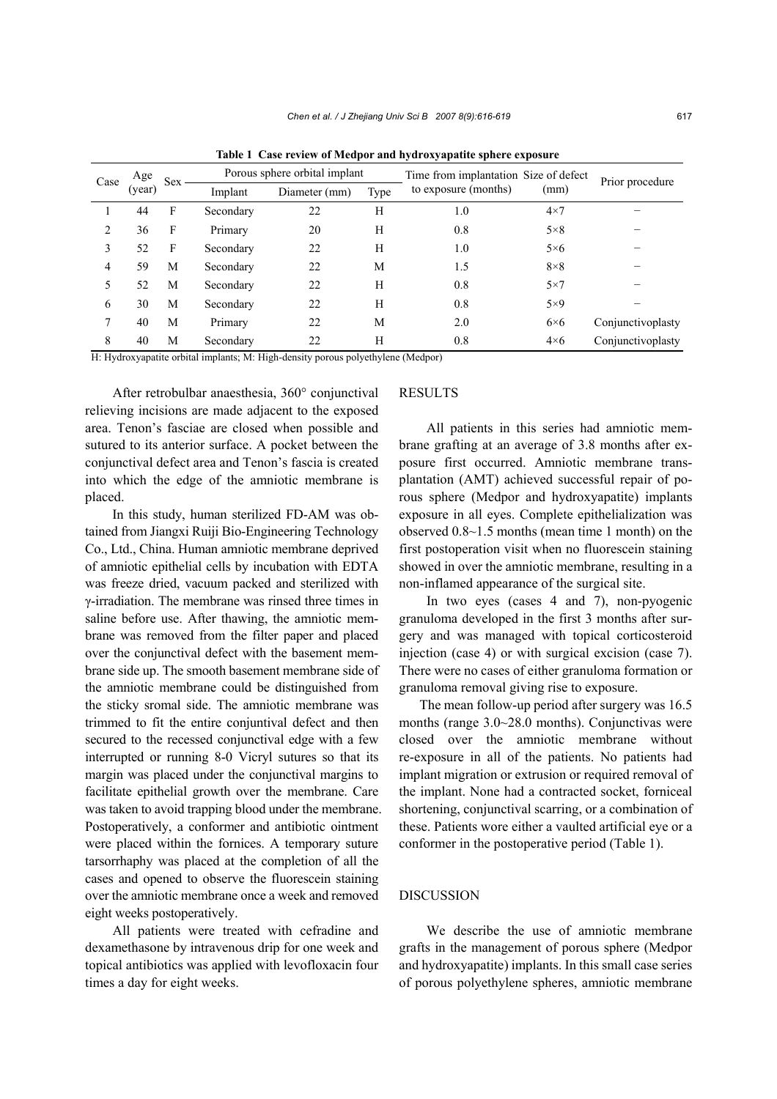| Case | Age<br>(year) | Sex : | Porous sphere orbital implant |               |      | Time from implantation Size of defect |             | Prior procedure   |
|------|---------------|-------|-------------------------------|---------------|------|---------------------------------------|-------------|-------------------|
|      |               |       | Implant                       | Diameter (mm) | Type | to exposure (months)                  | (mm)        |                   |
|      | 44            | F     | Secondary                     | 22            | Н    | 1.0                                   | $4\times7$  |                   |
| 2    | 36            | F     | Primary                       | 20            | Н    | 0.8                                   | $5\times8$  |                   |
| 3    | 52            | F     | Secondary                     | 22            | H    | 1.0                                   | $5\times6$  |                   |
| 4    | 59            | M     | Secondary                     | 22            | M    | 1.5                                   | $8\times8$  |                   |
| 5    | 52            | M     | Secondary                     | 22            | H    | 0.8                                   | $5\times 7$ |                   |
| 6    | 30            | M     | Secondary                     | 22            | Н    | 0.8                                   | $5\times9$  |                   |
| 7    | 40            | M     | Primary                       | 22            | M    | 2.0                                   | $6\times 6$ | Conjunctivoplasty |
| 8    | 40            | M     | Secondary                     | 22            | Н    | 0.8                                   | $4\times6$  | Conjunctivoplasty |

**Table 1 Case review of Medpor and hydroxyapatite sphere exposure**

H: Hydroxyapatite orbital implants; M: High-density porous polyethylene (Medpor)

After retrobulbar anaesthesia, 360° conjunctival relieving incisions are made adjacent to the exposed area. Tenon's fasciae are closed when possible and sutured to its anterior surface. A pocket between the conjunctival defect area and Tenon's fascia is created into which the edge of the amniotic membrane is placed.

In this study, human sterilized FD-AM was obtained from Jiangxi Ruiji Bio-Engineering Technology Co., Ltd., China. Human amniotic membrane deprived of amniotic epithelial cells by incubation with EDTA was freeze dried, vacuum packed and sterilized with γ-irradiation. The membrane was rinsed three times in saline before use. After thawing, the amniotic membrane was removed from the filter paper and placed over the conjunctival defect with the basement membrane side up. The smooth basement membrane side of the amniotic membrane could be distinguished from the sticky sromal side. The amniotic membrane was trimmed to fit the entire conjuntival defect and then secured to the recessed conjunctival edge with a few interrupted or running 8-0 Vicryl sutures so that its margin was placed under the conjunctival margins to facilitate epithelial growth over the membrane. Care was taken to avoid trapping blood under the membrane. Postoperatively, a conformer and antibiotic ointment were placed within the fornices. A temporary suture tarsorrhaphy was placed at the completion of all the cases and opened to observe the fluorescein staining over the amniotic membrane once a week and removed eight weeks postoperatively.

All patients were treated with cefradine and dexamethasone by intravenous drip for one week and topical antibiotics was applied with levofloxacin four times a day for eight weeks.

# **RESULTS**

All patients in this series had amniotic membrane grafting at an average of 3.8 months after exposure first occurred. Amniotic membrane transplantation (AMT) achieved successful repair of porous sphere (Medpor and hydroxyapatite) implants exposure in all eyes. Complete epithelialization was observed 0.8~1.5 months (mean time 1 month) on the first postoperation visit when no fluorescein staining showed in over the amniotic membrane, resulting in a non-inflamed appearance of the surgical site.

In two eyes (cases 4 and 7), non-pyogenic granuloma developed in the first 3 months after surgery and was managed with topical corticosteroid injection (case 4) or with surgical excision (case 7). There were no cases of either granuloma formation or granuloma removal giving rise to exposure.

The mean follow-up period after surgery was 16.5 months (range 3.0~28.0 months). Conjunctivas were closed over the amniotic membrane without re-exposure in all of the patients. No patients had implant migration or extrusion or required removal of the implant. None had a contracted socket, forniceal shortening, conjunctival scarring, or a combination of these. Patients wore either a vaulted artificial eye or a conformer in the postoperative period (Table 1).

## **DISCUSSION**

We describe the use of amniotic membrane grafts in the management of porous sphere (Medpor and hydroxyapatite) implants. In this small case series of porous polyethylene spheres, amniotic membrane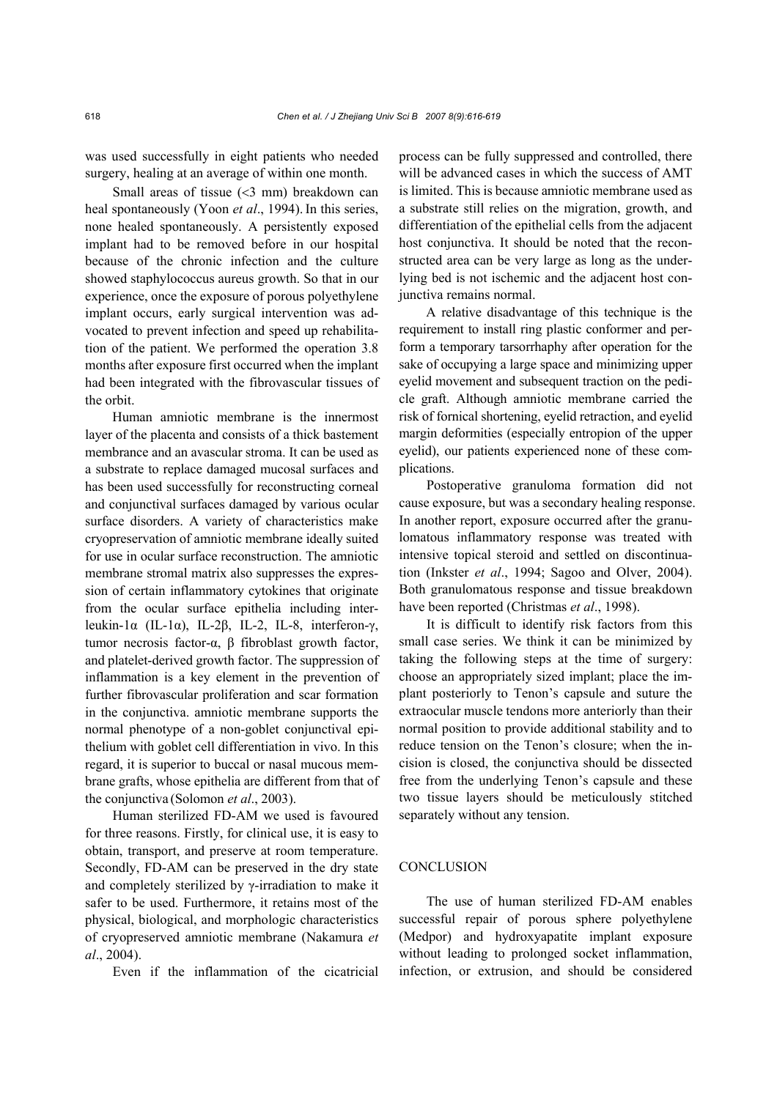was used successfully in eight patients who needed surgery, healing at an average of within one month.

Small areas of tissue (<3 mm) breakdown can heal spontaneously (Yoon *et al*., 1994). In this series, none healed spontaneously. A persistently exposed implant had to be removed before in our hospital because of the chronic infection and the culture showed staphylococcus aureus growth. So that in our experience, once the exposure of porous polyethylene implant occurs, early surgical intervention was advocated to prevent infection and speed up rehabilitation of the patient. We performed the operation 3.8 months after exposure first occurred when the implant had been integrated with the fibrovascular tissues of the orbit.

Human amniotic membrane is the innermost layer of the placenta and consists of a thick bastement membrance and an avascular stroma. It can be used as a substrate to replace damaged mucosal surfaces and has been used successfully for reconstructing corneal and conjunctival surfaces damaged by various ocular surface disorders. A variety of characteristics make cryopreservation of amniotic membrane ideally suited for use in ocular surface reconstruction. The amniotic membrane stromal matrix also suppresses the expression of certain inflammatory cytokines that originate from the ocular surface epithelia including interleukin-1α (IL-1α), IL-2β, IL-2, IL-8, interferon-γ, tumor necrosis factor-α, β fibroblast growth factor, and platelet-derived growth factor. The suppression of inflammation is a key element in the prevention of further fibrovascular proliferation and scar formation in the conjunctiva. amniotic membrane supports the normal phenotype of a non-goblet conjunctival epithelium with goblet cell differentiation in vivo. In this regard, it is superior to buccal or nasal mucous membrane grafts, whose epithelia are different from that of the conjunctiva (Solomon *et al*., 2003).

Human sterilized FD-AM we used is favoured for three reasons. Firstly, for clinical use, it is easy to obtain, transport, and preserve at room temperature. Secondly, FD-AM can be preserved in the dry state and completely sterilized by γ-irradiation to make it safer to be used. Furthermore, it retains most of the physical, biological, and morphologic characteristics of cryopreserved amniotic membrane (Nakamura *et al*., 2004).

Even if the inflammation of the cicatricial

process can be fully suppressed and controlled, there will be advanced cases in which the success of AMT is limited. This is because amniotic membrane used as a substrate still relies on the migration, growth, and differentiation of the epithelial cells from the adjacent host conjunctiva. It should be noted that the reconstructed area can be very large as long as the underlying bed is not ischemic and the adjacent host conjunctiva remains normal.

A relative disadvantage of this technique is the requirement to install ring plastic conformer and perform a temporary tarsorrhaphy after operation for the sake of occupying a large space and minimizing upper eyelid movement and subsequent traction on the pedicle graft. Although amniotic membrane carried the risk of fornical shortening, eyelid retraction, and eyelid margin deformities (especially entropion of the upper eyelid), our patients experienced none of these complications.

Postoperative granuloma formation did not cause exposure, but was a secondary healing response. In another report, exposure occurred after the granulomatous inflammatory response was treated with intensive topical steroid and settled on discontinuation (Inkster *et al*., 1994; Sagoo and Olver, 2004). Both granulomatous response and tissue breakdown have been reported (Christmas *et al*., 1998).

It is difficult to identify risk factors from this small case series. We think it can be minimized by taking the following steps at the time of surgery: choose an appropriately sized implant; place the implant posteriorly to Tenon's capsule and suture the extraocular muscle tendons more anteriorly than their normal position to provide additional stability and to reduce tension on the Tenon's closure; when the incision is closed, the conjunctiva should be dissected free from the underlying Tenon's capsule and these two tissue layers should be meticulously stitched separately without any tension.

### **CONCLUSION**

The use of human sterilized FD-AM enables successful repair of porous sphere polyethylene (Medpor) and hydroxyapatite implant exposure without leading to prolonged socket inflammation, infection, or extrusion, and should be considered